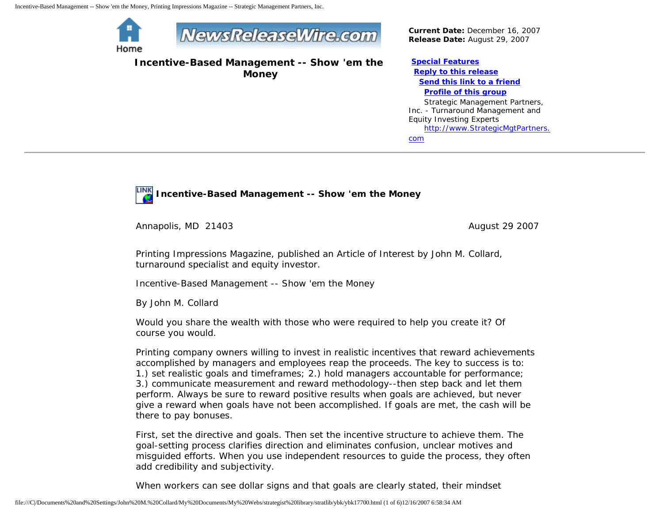Home



**Incentive-Based Management -- Show 'em the Money**

*Current Date:* December 16, 2007 *Release Date:* August 29, 2007

**[Special Features](javascript:openlittleme() [Reply to this release](file:///C|/Documents%20and%20Settings/John%20M.%20Collard/My%20Documents/My%20Webs/strategist%20library/stratlib/ybk/default.cfm?Action=ReplyRelease&Id=17700) [Send this link to a friend](file:///C|/Documents%20and%20Settings/John%20M.%20Collard/My%20Documents/My%20Webs/strategist%20library/stratlib/ybk/default.cfm?Action=SendLink&SendId=17700) [Profile of this group](file:///C|/Documents%20and%20Settings/John%20M.%20Collard/My%20Documents/My%20Webs/strategist%20library/stratlib/ybk/default.cfm?Action=Profile&ProfileId=623)** Strategic Management Partners, Inc. - Turnaround Management and Equity Investing Experts [http://www.StrategicMgtPartners.](http://www.strategicmgtpartners.com/)

[com](http://www.strategicmgtpartners.com/)



**Incentive-Based Management -- Show 'em the Money** 

Annapolis, MD 21403 **August 29 2007** August 29 2007

Printing Impressions Magazine, published an Article of Interest by John M. Collard, turnaround specialist and equity investor.

Incentive-Based Management -- Show 'em the Money

By John M. Collard

Would you share the wealth with those who were required to help you create it? Of course you would.

Printing company owners willing to invest in realistic incentives that reward achievements accomplished by managers and employees reap the proceeds. The key to success is to: 1.) set realistic goals and timeframes; 2.) hold managers accountable for performance; 3.) communicate measurement and reward methodology--then step back and let them perform. Always be sure to reward positive results when goals are achieved, but never give a reward when goals have not been accomplished. If goals are met, the cash will be there to pay bonuses.

First, set the directive and goals. Then set the incentive structure to achieve them. The goal-setting process clarifies direction and eliminates confusion, unclear motives and misguided efforts. When you use independent resources to guide the process, they often add credibility and subjectivity.

When workers can see dollar signs and that goals are clearly stated, their mindset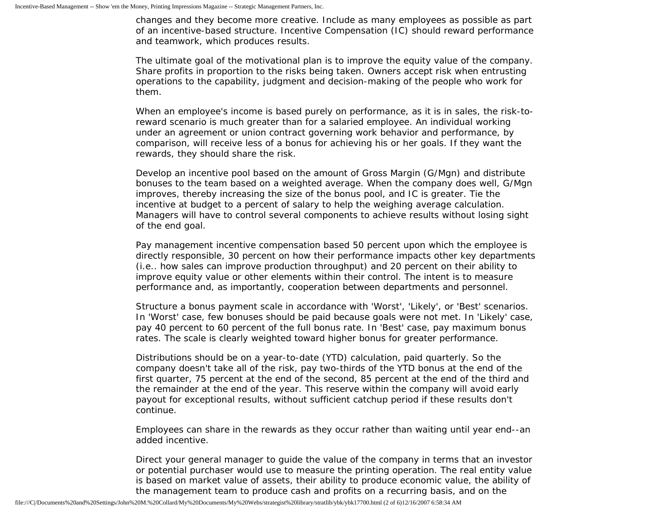changes and they become more creative. Include as many employees as possible as part of an incentive-based structure. Incentive Compensation (IC) should reward performance and teamwork, which produces results.

The ultimate goal of the motivational plan is to improve the equity value of the company. Share profits in proportion to the risks being taken. Owners accept risk when entrusting operations to the capability, judgment and decision-making of the people who work for them.

When an employee's income is based purely on performance, as it is in sales, the risk-toreward scenario is much greater than for a salaried employee. An individual working under an agreement or union contract governing work behavior and performance, by comparison, will receive less of a bonus for achieving his or her goals. If they want the rewards, they should share the risk.

Develop an incentive pool based on the amount of Gross Margin (G/Mgn) and distribute bonuses to the team based on a weighted average. When the company does well, G/Mgn improves, thereby increasing the size of the bonus pool, and IC is greater. Tie the incentive at budget to a percent of salary to help the weighing average calculation. Managers will have to control several components to achieve results without losing sight of the end goal.

Pay management incentive compensation based 50 percent upon which the employee is directly responsible, 30 percent on how their performance impacts other key departments (i.e.. how sales can improve production throughput) and 20 percent on their ability to improve equity value or other elements within their control. The intent is to measure performance and, as importantly, cooperation between departments and personnel.

Structure a bonus payment scale in accordance with 'Worst', 'Likely', or 'Best' scenarios. In 'Worst' case, few bonuses should be paid because goals were not met. In 'Likely' case, pay 40 percent to 60 percent of the full bonus rate. In 'Best' case, pay maximum bonus rates. The scale is clearly weighted toward higher bonus for greater performance.

Distributions should be on a year-to-date (YTD) calculation, paid quarterly. So the company doesn't take all of the risk, pay two-thirds of the YTD bonus at the end of the first quarter, 75 percent at the end of the second, 85 percent at the end of the third and the remainder at the end of the year. This reserve within the company will avoid early payout for exceptional results, without sufficient catchup period if these results don't continue.

Employees can share in the rewards as they occur rather than waiting until year end--an added incentive.

Direct your general manager to guide the value of the company in terms that an investor or potential purchaser would use to measure the printing operation. The real entity value is based on market value of assets, their ability to produce economic value, the ability of the management team to produce cash and profits on a recurring basis, and on the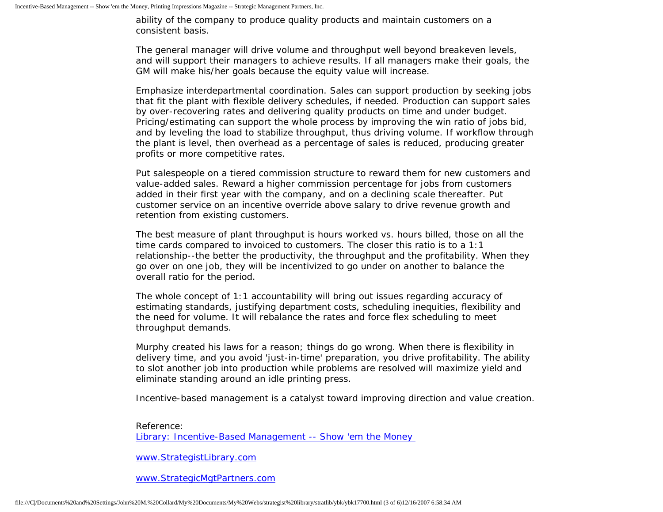ability of the company to produce quality products and maintain customers on a consistent basis.

The general manager will drive volume and throughput well beyond breakeven levels, and will support their managers to achieve results. If all managers make their goals, the GM will make his/her goals because the equity value will increase.

Emphasize interdepartmental coordination. Sales can support production by seeking jobs that fit the plant with flexible delivery schedules, if needed. Production can support sales by over-recovering rates and delivering quality products on time and under budget. Pricing/estimating can support the whole process by improving the win ratio of jobs bid, and by leveling the load to stabilize throughput, thus driving volume. If workflow through the plant is level, then overhead as a percentage of sales is reduced, producing greater profits or more competitive rates.

Put salespeople on a tiered commission structure to reward them for new customers and value-added sales. Reward a higher commission percentage for jobs from customers added in their first year with the company, and on a declining scale thereafter. Put customer service on an incentive override above salary to drive revenue growth and retention from existing customers.

The best measure of plant throughput is hours worked vs. hours billed, those on all the time cards compared to invoiced to customers. The closer this ratio is to a 1:1 relationship--the better the productivity, the throughput and the profitability. When they go over on one job, they will be incentivized to go under on another to balance the overall ratio for the period.

The whole concept of 1:1 accountability will bring out issues regarding accuracy of estimating standards, justifying department costs, scheduling inequities, flexibility and the need for volume. It will rebalance the rates and force flex scheduling to meet throughput demands.

Murphy created his laws for a reason; things do go wrong. When there is flexibility in delivery time, and you avoid 'just-in-time' preparation, you drive profitability. The ability to slot another job into production while problems are resolved will maximize yield and eliminate standing around an idle printing press.

Incentive-based management is a catalyst toward improving direction and value creation.

Reference:

[Library: Incentive-Based Management -- Show 'em the Money](http://members.aol.com/stratlib3/piibmf.html) 

[www.StrategistLibrary.com](http://www.strategistlibrary.com/)

[www.StrategicMgtPartners.com](http://www.strategicmgtpartners.com/)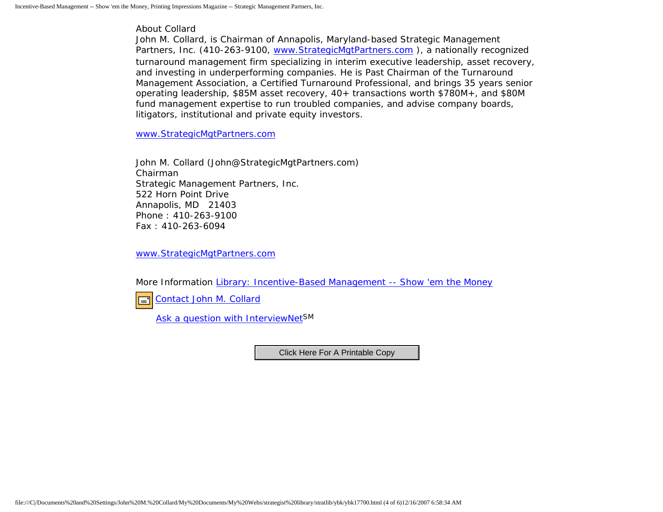About Collard

John M. Collard, is Chairman of Annapolis, Maryland-based Strategic Management Partners, Inc. (410-263-9100, www.StrategicMgtPartners.com), a nationally recognized turnaround management firm specializing in interim executive leadership, asset recovery, and investing in underperforming companies. He is Past Chairman of the Turnaround Management Association, a Certified Turnaround Professional, and brings 35 years senior operating leadership, \$85M asset recovery, 40+ transactions worth \$780M+, and \$80M fund management expertise to run troubled companies, and advise company boards, litigators, institutional and private equity investors.

[www.StrategicMgtPartners.com](http://www.strategicmgtpartners.com/)

John M. Collard (John@StrategicMgtPartners.com) Chairman Strategic Management Partners, Inc. 522 Horn Point Drive Annapolis, MD 21403 Phone : 410-263-9100 Fax : 410-263-6094

[www.StrategicMgtPartners.com](http://www.strategicmgtpartners.com/)

More Information [Library: Incentive-Based Management -- Show 'em the Money](http://members.aol.com/stratlib3/piibmf.html)

[Contact John M. Collard](http://www.expertclick.com/expertClick/contact/default.cfm?Action=ContactExpert&GroupID=1016) 囸

[Ask a question with InterviewNetS](http://www.expertclick.com/expertClick/contact/default.cfm?GroupID=1016)M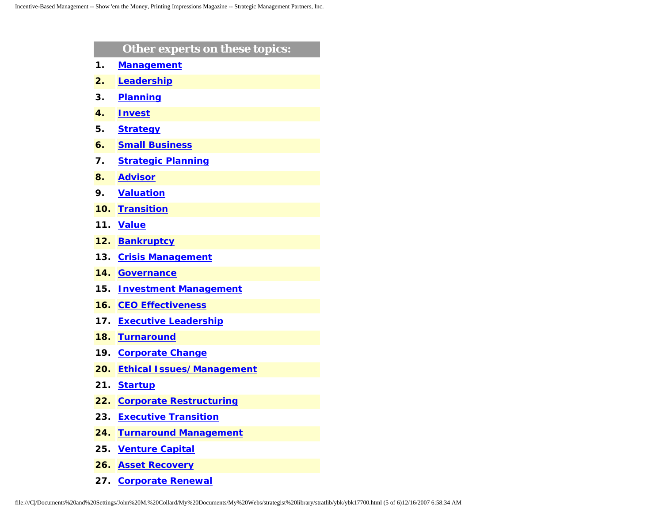|     | Other experts on these topics:   |
|-----|----------------------------------|
| 1.  | <b>Management</b>                |
| 2.  | Leadership                       |
| 3.  | <b>Planning</b>                  |
| 4.  | <b>Invest</b>                    |
| 5.  | <b>Strategy</b>                  |
| 6.  | <b>Small Business</b>            |
| 7.  | <b>Strategic Planning</b>        |
| 8.  | <b>Advisor</b>                   |
| 9.  | <b>Valuation</b>                 |
| 10. | <b>Transition</b>                |
| 11. | <b>Value</b>                     |
| 12. | <b>Bankruptcy</b>                |
| 13. | <b>Crisis Management</b>         |
| 14. | <b>Governance</b>                |
| 15. | <b>Investment Management</b>     |
| 16. | <b>CEO Effectiveness</b>         |
| 17. | <b>Executive Leadership</b>      |
| 18. | <b>Turnaround</b>                |
| 19. | <b>Corporate Change</b>          |
| 20. | <b>Ethical Issues/Management</b> |
| 21. | <b>Startup</b>                   |
| 22. | <b>Corporate Restructuring</b>   |
| 23. | <b>Executive Transition</b>      |
| 24. | <b>Turnaround Management</b>     |
| 25. | <b>Venture Capital</b>           |
| 26. | <b>Asset Recovery</b>            |
|     |                                  |

**27. [Corporate Renewal](http://www.expertclick.com/search/default.cfm?SearchCriteria=Corporate Renewal)**